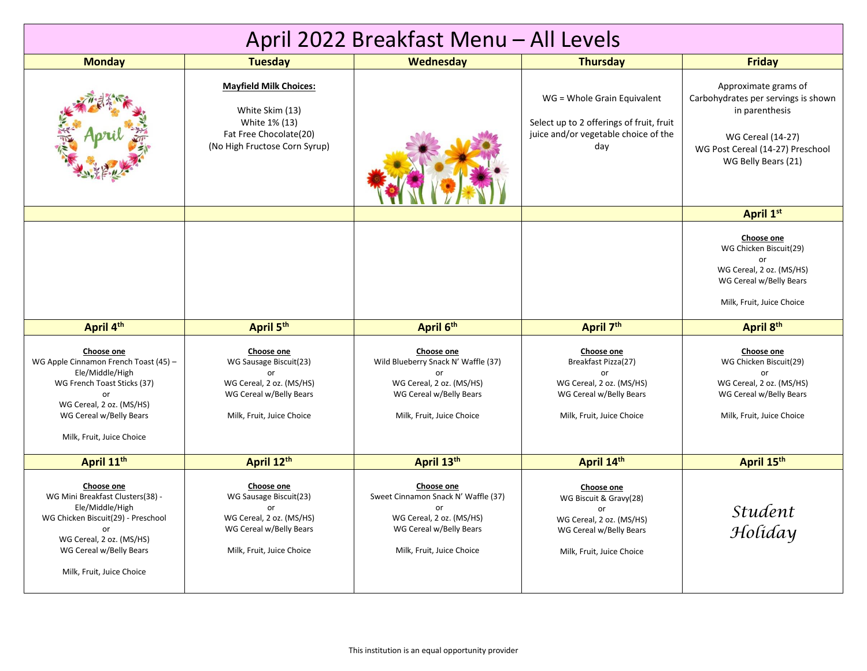| April 2022 Breakfast Menu - All Levels                                                                                                                                                            |                                                                                                                                |                                                                                                                                             |                                                                                                                                |                                                                                                                                                                      |  |  |
|---------------------------------------------------------------------------------------------------------------------------------------------------------------------------------------------------|--------------------------------------------------------------------------------------------------------------------------------|---------------------------------------------------------------------------------------------------------------------------------------------|--------------------------------------------------------------------------------------------------------------------------------|----------------------------------------------------------------------------------------------------------------------------------------------------------------------|--|--|
| <b>Monday</b>                                                                                                                                                                                     | <b>Tuesday</b>                                                                                                                 | <b>Wednesday</b>                                                                                                                            | <b>Thursday</b>                                                                                                                | <b>Friday</b>                                                                                                                                                        |  |  |
|                                                                                                                                                                                                   | <b>Mayfield Milk Choices:</b><br>White Skim (13)<br>White 1% (13)<br>Fat Free Chocolate(20)<br>(No High Fructose Corn Syrup)   |                                                                                                                                             | WG = Whole Grain Equivalent<br>Select up to 2 offerings of fruit, fruit<br>juice and/or vegetable choice of the<br>dav         | Approximate grams of<br>Carbohydrates per servings is shown<br>in parenthesis<br><b>WG Cereal (14-27)</b><br>WG Post Cereal (14-27) Preschool<br>WG Belly Bears (21) |  |  |
|                                                                                                                                                                                                   |                                                                                                                                |                                                                                                                                             |                                                                                                                                | April 1st                                                                                                                                                            |  |  |
|                                                                                                                                                                                                   |                                                                                                                                |                                                                                                                                             |                                                                                                                                | Choose one<br>WG Chicken Biscuit(29)<br>or<br>WG Cereal, 2 oz. (MS/HS)<br>WG Cereal w/Belly Bears<br>Milk, Fruit, Juice Choice                                       |  |  |
| April 4th                                                                                                                                                                                         | April 5 <sup>th</sup>                                                                                                          | April 6th                                                                                                                                   | April 7 <sup>th</sup>                                                                                                          | April 8th                                                                                                                                                            |  |  |
| Choose one<br>WG Apple Cinnamon French Toast (45) -<br>Ele/Middle/High<br>WG French Toast Sticks (37)<br>or<br>WG Cereal, 2 oz. (MS/HS)<br>WG Cereal w/Belly Bears<br>Milk, Fruit, Juice Choice   | Choose one<br>WG Sausage Biscuit(23)<br>or<br>WG Cereal, 2 oz. (MS/HS)<br>WG Cereal w/Belly Bears<br>Milk, Fruit, Juice Choice | Choose one<br>Wild Blueberry Snack N' Waffle (37)<br>or<br>WG Cereal, 2 oz. (MS/HS)<br>WG Cereal w/Belly Bears<br>Milk, Fruit, Juice Choice | Choose one<br>Breakfast Pizza(27)<br>or<br>WG Cereal, 2 oz. (MS/HS)<br>WG Cereal w/Belly Bears<br>Milk, Fruit, Juice Choice    | Choose one<br>WG Chicken Biscuit(29)<br>or<br>WG Cereal, 2 oz. (MS/HS)<br>WG Cereal w/Belly Bears<br>Milk, Fruit, Juice Choice                                       |  |  |
| April 11th                                                                                                                                                                                        | April 12th                                                                                                                     | April 13th                                                                                                                                  | April 14th                                                                                                                     | April 15th                                                                                                                                                           |  |  |
| Choose one<br>WG Mini Breakfast Clusters(38) -<br>Ele/Middle/High<br>WG Chicken Biscuit(29) - Preschool<br>or<br>WG Cereal, 2 oz. (MS/HS)<br>WG Cereal w/Belly Bears<br>Milk, Fruit, Juice Choice | Choose one<br>WG Sausage Biscuit(23)<br>or<br>WG Cereal, 2 oz. (MS/HS)<br>WG Cereal w/Belly Bears<br>Milk, Fruit, Juice Choice | Choose one<br>Sweet Cinnamon Snack N' Waffle (37)<br>or<br>WG Cereal, 2 oz. (MS/HS)<br>WG Cereal w/Belly Bears<br>Milk, Fruit, Juice Choice | Choose one<br>WG Biscuit & Gravy(28)<br>or<br>WG Cereal, 2 oz. (MS/HS)<br>WG Cereal w/Belly Bears<br>Milk, Fruit, Juice Choice | <i><b>Student</b></i><br>Holiday                                                                                                                                     |  |  |